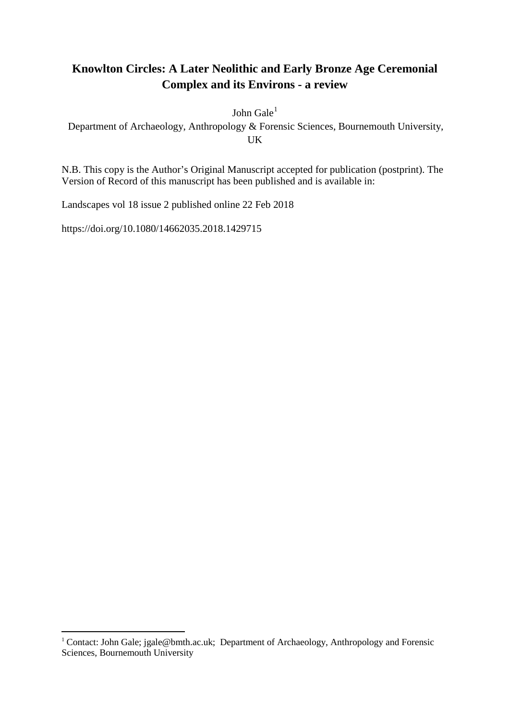# **Knowlton Circles: A Later Neolithic and Early Bronze Age Ceremonial Complex and its Environs - a review**

John Gale $<sup>1</sup>$  $<sup>1</sup>$  $<sup>1</sup>$ </sup>

Department of Archaeology, Anthropology & Forensic Sciences, Bournemouth University, UK

N.B. This copy is the Author's Original Manuscript accepted for publication (postprint). The Version of Record of this manuscript has been published and is available in:

Landscapes vol 18 issue 2 published online 22 Feb 2018

https://doi.org/10.1080/14662035.2018.1429715

<span id="page-0-0"></span><sup>&</sup>lt;sup>1</sup> Contact: John Gale; jgale@bmth.ac.uk; Department of Archaeology, Anthropology and Forensic Sciences, Bournemouth University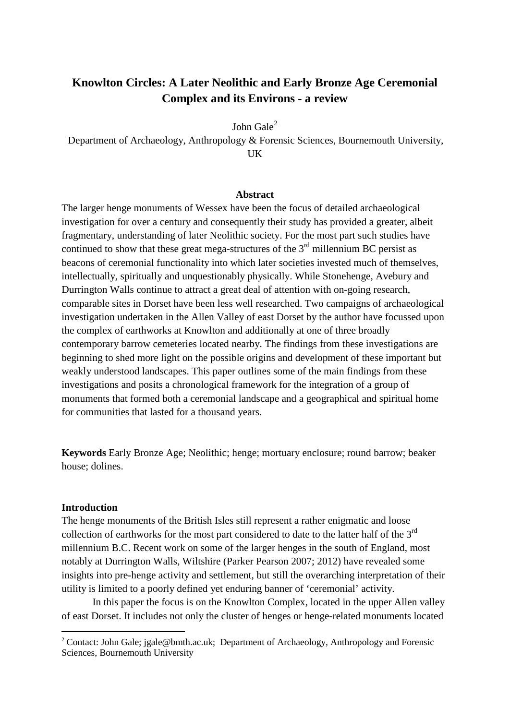## **Knowlton Circles: A Later Neolithic and Early Bronze Age Ceremonial Complex and its Environs - a review**

John Gal $e^2$  $e^2$ 

Department of Archaeology, Anthropology & Forensic Sciences, Bournemouth University, UK

## **Abstract**

The larger henge monuments of Wessex have been the focus of detailed archaeological investigation for over a century and consequently their study has provided a greater, albeit fragmentary, understanding of later Neolithic society. For the most part such studies have continued to show that these great mega-structures of the  $3<sup>rd</sup>$  millennium BC persist as beacons of ceremonial functionality into which later societies invested much of themselves, intellectually, spiritually and unquestionably physically. While Stonehenge, Avebury and Durrington Walls continue to attract a great deal of attention with on-going research, comparable sites in Dorset have been less well researched. Two campaigns of archaeological investigation undertaken in the Allen Valley of east Dorset by the author have focussed upon the complex of earthworks at Knowlton and additionally at one of three broadly contemporary barrow cemeteries located nearby. The findings from these investigations are beginning to shed more light on the possible origins and development of these important but weakly understood landscapes. This paper outlines some of the main findings from these investigations and posits a chronological framework for the integration of a group of monuments that formed both a ceremonial landscape and a geographical and spiritual home for communities that lasted for a thousand years.

**Keywords** Early Bronze Age; Neolithic; henge; mortuary enclosure; round barrow; beaker house; dolines.

#### **Introduction**

The henge monuments of the British Isles still represent a rather enigmatic and loose collection of earthworks for the most part considered to date to the latter half of the  $3<sup>rd</sup>$ millennium B.C. Recent work on some of the larger henges in the south of England, most notably at Durrington Walls, Wiltshire (Parker Pearson 2007; 2012) have revealed some insights into pre-henge activity and settlement, but still the overarching interpretation of their utility is limited to a poorly defined yet enduring banner of 'ceremonial' activity.

In this paper the focus is on the Knowlton Complex, located in the upper Allen valley of east Dorset. It includes not only the cluster of henges or henge-related monuments located

<span id="page-1-0"></span><sup>&</sup>lt;sup>2</sup> Contact: John Gale; jgale@bmth.ac.uk; Department of Archaeology, Anthropology and Forensic Sciences, Bournemouth University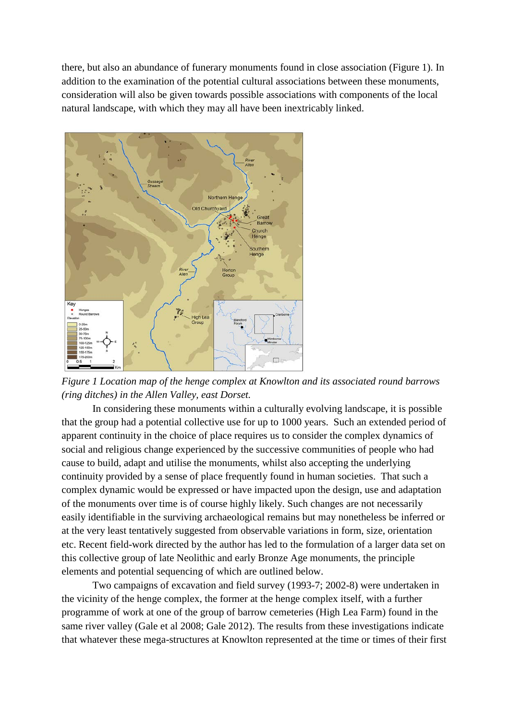there, but also an abundance of funerary monuments found in close association (Figure 1). In addition to the examination of the potential cultural associations between these monuments, consideration will also be given towards possible associations with components of the local natural landscape, with which they may all have been inextricably linked.



*Figure 1 Location map of the henge complex at Knowlton and its associated round barrows (ring ditches) in the Allen Valley, east Dorset.*

In considering these monuments within a culturally evolving landscape, it is possible that the group had a potential collective use for up to 1000 years. Such an extended period of apparent continuity in the choice of place requires us to consider the complex dynamics of social and religious change experienced by the successive communities of people who had cause to build, adapt and utilise the monuments, whilst also accepting the underlying continuity provided by a sense of place frequently found in human societies. That such a complex dynamic would be expressed or have impacted upon the design, use and adaptation of the monuments over time is of course highly likely. Such changes are not necessarily easily identifiable in the surviving archaeological remains but may nonetheless be inferred or at the very least tentatively suggested from observable variations in form, size, orientation etc. Recent field-work directed by the author has led to the formulation of a larger data set on this collective group of late Neolithic and early Bronze Age monuments, the principle elements and potential sequencing of which are outlined below.

Two campaigns of excavation and field survey (1993-7; 2002-8) were undertaken in the vicinity of the henge complex, the former at the henge complex itself, with a further programme of work at one of the group of barrow cemeteries (High Lea Farm) found in the same river valley (Gale et al 2008; Gale 2012). The results from these investigations indicate that whatever these mega-structures at Knowlton represented at the time or times of their first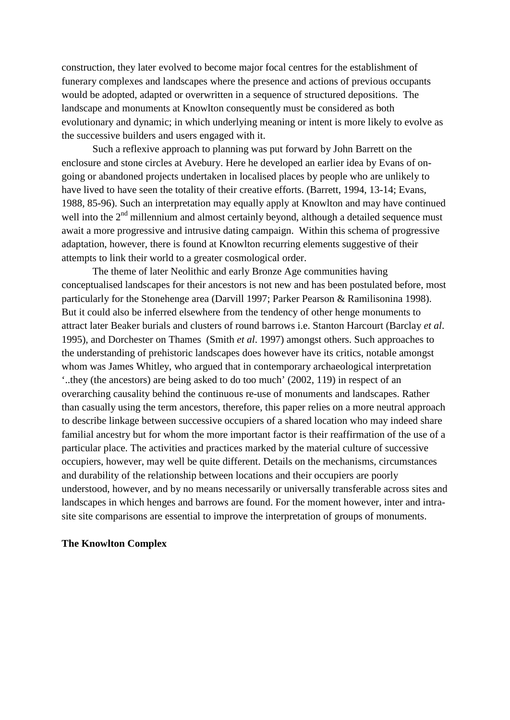construction, they later evolved to become major focal centres for the establishment of funerary complexes and landscapes where the presence and actions of previous occupants would be adopted, adapted or overwritten in a sequence of structured depositions. The landscape and monuments at Knowlton consequently must be considered as both evolutionary and dynamic; in which underlying meaning or intent is more likely to evolve as the successive builders and users engaged with it.

Such a reflexive approach to planning was put forward by John Barrett on the enclosure and stone circles at Avebury. Here he developed an earlier idea by Evans of ongoing or abandoned projects undertaken in localised places by people who are unlikely to have lived to have seen the totality of their creative efforts. (Barrett, 1994, 13-14; Evans, 1988, 85-96). Such an interpretation may equally apply at Knowlton and may have continued well into the  $2<sup>nd</sup>$  millennium and almost certainly beyond, although a detailed sequence must await a more progressive and intrusive dating campaign. Within this schema of progressive adaptation, however, there is found at Knowlton recurring elements suggestive of their attempts to link their world to a greater cosmological order.

The theme of later Neolithic and early Bronze Age communities having conceptualised landscapes for their ancestors is not new and has been postulated before, most particularly for the Stonehenge area (Darvill 1997; Parker Pearson & Ramilisonina 1998). But it could also be inferred elsewhere from the tendency of other henge monuments to attract later Beaker burials and clusters of round barrows i.e. Stanton Harcourt (Barclay *et al*. 1995), and Dorchester on Thames (Smith *et al*. 1997) amongst others. Such approaches to the understanding of prehistoric landscapes does however have its critics, notable amongst whom was James Whitley, who argued that in contemporary archaeological interpretation '..they (the ancestors) are being asked to do too much' (2002, 119) in respect of an overarching causality behind the continuous re-use of monuments and landscapes. Rather than casually using the term ancestors, therefore, this paper relies on a more neutral approach to describe linkage between successive occupiers of a shared location who may indeed share familial ancestry but for whom the more important factor is their reaffirmation of the use of a particular place. The activities and practices marked by the material culture of successive occupiers, however, may well be quite different. Details on the mechanisms, circumstances and durability of the relationship between locations and their occupiers are poorly understood, however, and by no means necessarily or universally transferable across sites and landscapes in which henges and barrows are found. For the moment however, inter and intrasite site comparisons are essential to improve the interpretation of groups of monuments.

### **The Knowlton Complex**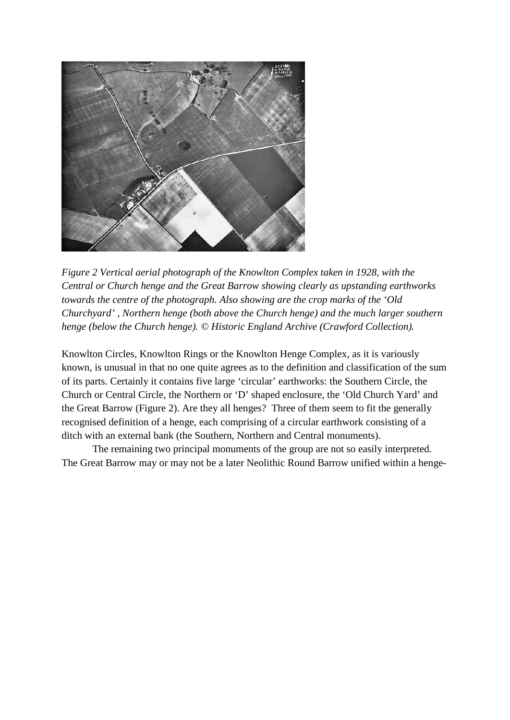

*Figure 2 Vertical aerial photograph of the Knowlton Complex taken in 1928, with the Central or Church henge and the Great Barrow showing clearly as upstanding earthworks towards the centre of the photograph. Also showing are the crop marks of the 'Old Churchyard' , Northern henge (both above the Church henge) and the much larger southern henge (below the Church henge). © Historic England Archive (Crawford Collection).*

Knowlton Circles, Knowlton Rings or the Knowlton Henge Complex, as it is variously known, is unusual in that no one quite agrees as to the definition and classification of the sum of its parts. Certainly it contains five large 'circular' earthworks: the Southern Circle, the Church or Central Circle, the Northern or 'D' shaped enclosure, the 'Old Church Yard' and the Great Barrow (Figure 2). Are they all henges? Three of them seem to fit the generally recognised definition of a henge, each comprising of a circular earthwork consisting of a ditch with an external bank (the Southern, Northern and Central monuments).

The remaining two principal monuments of the group are not so easily interpreted. The Great Barrow may or may not be a later Neolithic Round Barrow unified within a henge-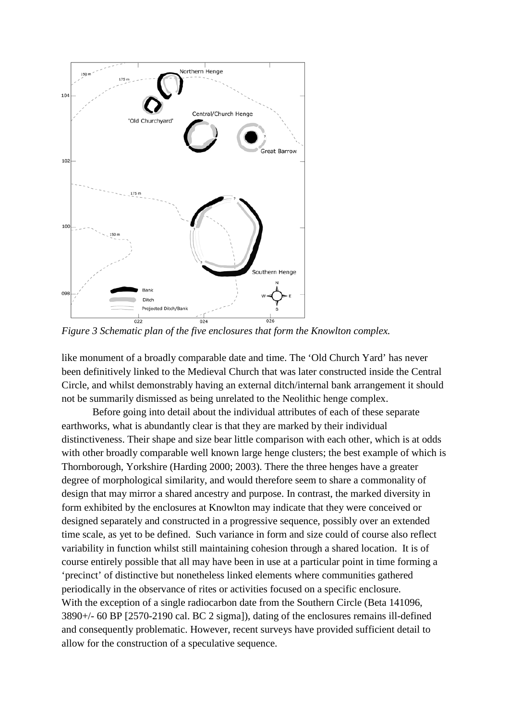

*Figure 3 Schematic plan of the five enclosures that form the Knowlton complex.*

like monument of a broadly comparable date and time. The 'Old Church Yard' has never been definitively linked to the Medieval Church that was later constructed inside the Central Circle, and whilst demonstrably having an external ditch/internal bank arrangement it should not be summarily dismissed as being unrelated to the Neolithic henge complex.

Before going into detail about the individual attributes of each of these separate earthworks, what is abundantly clear is that they are marked by their individual distinctiveness. Their shape and size bear little comparison with each other, which is at odds with other broadly comparable well known large henge clusters; the best example of which is Thornborough, Yorkshire (Harding 2000; 2003). There the three henges have a greater degree of morphological similarity, and would therefore seem to share a commonality of design that may mirror a shared ancestry and purpose. In contrast, the marked diversity in form exhibited by the enclosures at Knowlton may indicate that they were conceived or designed separately and constructed in a progressive sequence, possibly over an extended time scale, as yet to be defined. Such variance in form and size could of course also reflect variability in function whilst still maintaining cohesion through a shared location. It is of course entirely possible that all may have been in use at a particular point in time forming a 'precinct' of distinctive but nonetheless linked elements where communities gathered periodically in the observance of rites or activities focused on a specific enclosure. With the exception of a single radiocarbon date from the Southern Circle (Beta 141096, 3890+/- 60 BP [2570-2190 cal. BC 2 sigma]), dating of the enclosures remains ill-defined and consequently problematic. However, recent surveys have provided sufficient detail to allow for the construction of a speculative sequence.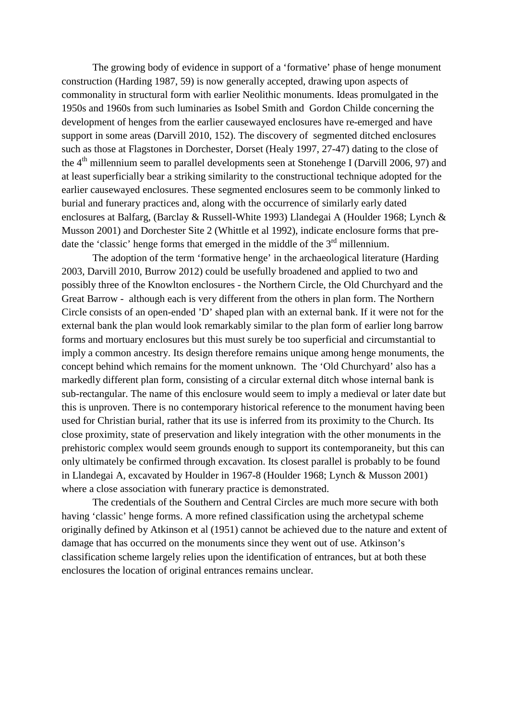The growing body of evidence in support of a 'formative' phase of henge monument construction (Harding 1987, 59) is now generally accepted, drawing upon aspects of commonality in structural form with earlier Neolithic monuments. Ideas promulgated in the 1950s and 1960s from such luminaries as Isobel Smith and Gordon Childe concerning the development of henges from the earlier causewayed enclosures have re-emerged and have support in some areas (Darvill 2010, 152). The discovery of segmented ditched enclosures such as those at Flagstones in Dorchester, Dorset (Healy 1997, 27-47) dating to the close of the  $4<sup>th</sup>$  millennium seem to parallel developments seen at Stonehenge I (Darvill 2006, 97) and at least superficially bear a striking similarity to the constructional technique adopted for the earlier causewayed enclosures. These segmented enclosures seem to be commonly linked to burial and funerary practices and, along with the occurrence of similarly early dated enclosures at Balfarg, (Barclay & Russell-White 1993) Llandegai A (Houlder 1968; Lynch & Musson 2001) and Dorchester Site 2 (Whittle et al 1992), indicate enclosure forms that predate the 'classic' henge forms that emerged in the middle of the  $3<sup>rd</sup>$  millennium.

The adoption of the term 'formative henge' in the archaeological literature (Harding 2003, Darvill 2010, Burrow 2012) could be usefully broadened and applied to two and possibly three of the Knowlton enclosures - the Northern Circle, the Old Churchyard and the Great Barrow - although each is very different from the others in plan form. The Northern Circle consists of an open-ended 'D' shaped plan with an external bank. If it were not for the external bank the plan would look remarkably similar to the plan form of earlier long barrow forms and mortuary enclosures but this must surely be too superficial and circumstantial to imply a common ancestry. Its design therefore remains unique among henge monuments, the concept behind which remains for the moment unknown. The 'Old Churchyard' also has a markedly different plan form, consisting of a circular external ditch whose internal bank is sub-rectangular. The name of this enclosure would seem to imply a medieval or later date but this is unproven. There is no contemporary historical reference to the monument having been used for Christian burial, rather that its use is inferred from its proximity to the Church. Its close proximity, state of preservation and likely integration with the other monuments in the prehistoric complex would seem grounds enough to support its contemporaneity, but this can only ultimately be confirmed through excavation. Its closest parallel is probably to be found in Llandegai A, excavated by Houlder in 1967-8 (Houlder 1968; Lynch & Musson 2001) where a close association with funerary practice is demonstrated.

The credentials of the Southern and Central Circles are much more secure with both having 'classic' henge forms. A more refined classification using the archetypal scheme originally defined by Atkinson et al (1951) cannot be achieved due to the nature and extent of damage that has occurred on the monuments since they went out of use. Atkinson's classification scheme largely relies upon the identification of entrances, but at both these enclosures the location of original entrances remains unclear.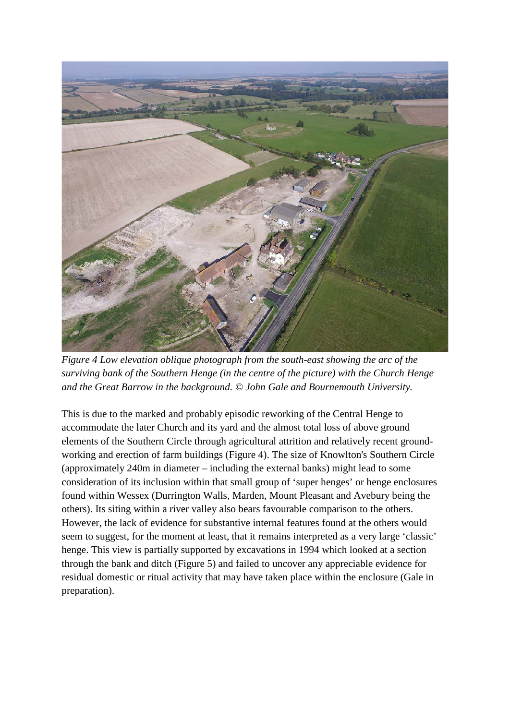

*Figure 4 Low elevation oblique photograph from the south-east showing the arc of the surviving bank of the Southern Henge (in the centre of the picture) with the Church Henge and the Great Barrow in the background. © John Gale and Bournemouth University.*

This is due to the marked and probably episodic reworking of the Central Henge to accommodate the later Church and its yard and the almost total loss of above ground elements of the Southern Circle through agricultural attrition and relatively recent groundworking and erection of farm buildings (Figure 4). The size of Knowlton's Southern Circle (approximately 240m in diameter – including the external banks) might lead to some consideration of its inclusion within that small group of 'super henges' or henge enclosures found within Wessex (Durrington Walls, Marden, Mount Pleasant and Avebury being the others). Its siting within a river valley also bears favourable comparison to the others. However, the lack of evidence for substantive internal features found at the others would seem to suggest, for the moment at least, that it remains interpreted as a very large 'classic' henge. This view is partially supported by excavations in 1994 which looked at a section through the bank and ditch (Figure 5) and failed to uncover any appreciable evidence for residual domestic or ritual activity that may have taken place within the enclosure (Gale in preparation).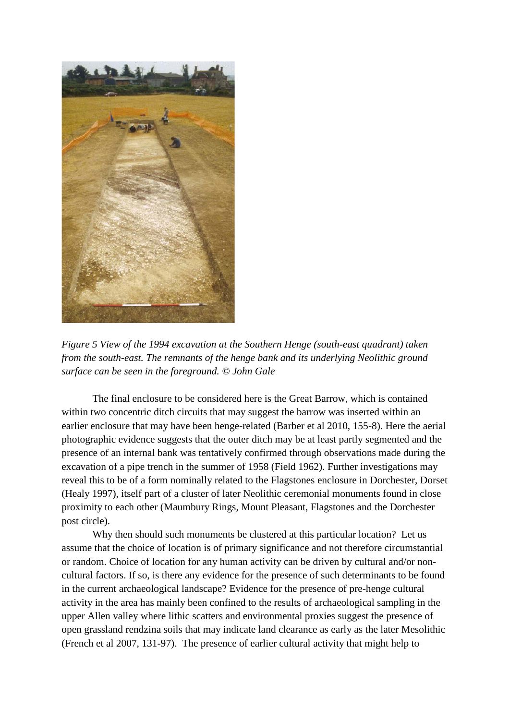

*Figure 5 View of the 1994 excavation at the Southern Henge (south-east quadrant) taken from the south-east. The remnants of the henge bank and its underlying Neolithic ground surface can be seen in the foreground. © John Gale*

The final enclosure to be considered here is the Great Barrow, which is contained within two concentric ditch circuits that may suggest the barrow was inserted within an earlier enclosure that may have been henge-related (Barber et al 2010, 155-8). Here the aerial photographic evidence suggests that the outer ditch may be at least partly segmented and the presence of an internal bank was tentatively confirmed through observations made during the excavation of a pipe trench in the summer of 1958 (Field 1962). Further investigations may reveal this to be of a form nominally related to the Flagstones enclosure in Dorchester, Dorset (Healy 1997), itself part of a cluster of later Neolithic ceremonial monuments found in close proximity to each other (Maumbury Rings, Mount Pleasant, Flagstones and the Dorchester post circle).

Why then should such monuments be clustered at this particular location? Let us assume that the choice of location is of primary significance and not therefore circumstantial or random. Choice of location for any human activity can be driven by cultural and/or noncultural factors. If so, is there any evidence for the presence of such determinants to be found in the current archaeological landscape? Evidence for the presence of pre-henge cultural activity in the area has mainly been confined to the results of archaeological sampling in the upper Allen valley where lithic scatters and environmental proxies suggest the presence of open grassland rendzina soils that may indicate land clearance as early as the later Mesolithic (French et al 2007, 131-97). The presence of earlier cultural activity that might help to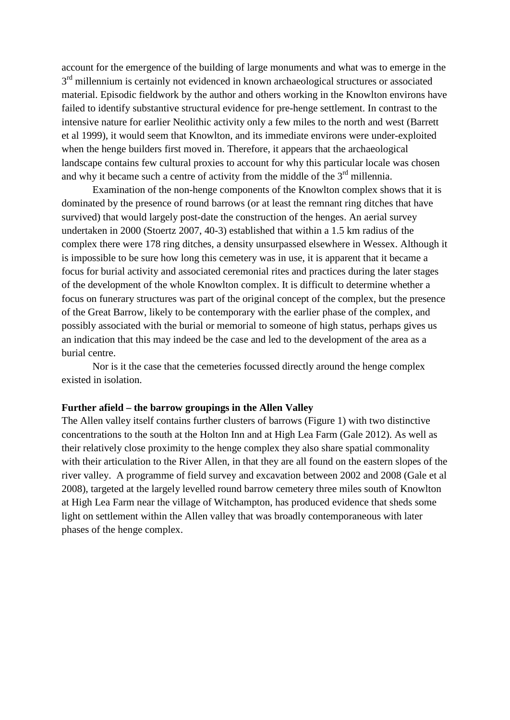account for the emergence of the building of large monuments and what was to emerge in the  $3<sup>rd</sup>$  millennium is certainly not evidenced in known archaeological structures or associated material. Episodic fieldwork by the author and others working in the Knowlton environs have failed to identify substantive structural evidence for pre-henge settlement. In contrast to the intensive nature for earlier Neolithic activity only a few miles to the north and west (Barrett et al 1999), it would seem that Knowlton, and its immediate environs were under-exploited when the henge builders first moved in. Therefore, it appears that the archaeological landscape contains few cultural proxies to account for why this particular locale was chosen and why it became such a centre of activity from the middle of the  $3<sup>rd</sup>$  millennia.

Examination of the non-henge components of the Knowlton complex shows that it is dominated by the presence of round barrows (or at least the remnant ring ditches that have survived) that would largely post-date the construction of the henges. An aerial survey undertaken in 2000 (Stoertz 2007, 40-3) established that within a 1.5 km radius of the complex there were 178 ring ditches, a density unsurpassed elsewhere in Wessex. Although it is impossible to be sure how long this cemetery was in use, it is apparent that it became a focus for burial activity and associated ceremonial rites and practices during the later stages of the development of the whole Knowlton complex. It is difficult to determine whether a focus on funerary structures was part of the original concept of the complex, but the presence of the Great Barrow, likely to be contemporary with the earlier phase of the complex, and possibly associated with the burial or memorial to someone of high status, perhaps gives us an indication that this may indeed be the case and led to the development of the area as a burial centre.

Nor is it the case that the cemeteries focussed directly around the henge complex existed in isolation.

#### **Further afield – the barrow groupings in the Allen Valley**

The Allen valley itself contains further clusters of barrows (Figure 1) with two distinctive concentrations to the south at the Holton Inn and at High Lea Farm (Gale 2012). As well as their relatively close proximity to the henge complex they also share spatial commonality with their articulation to the River Allen, in that they are all found on the eastern slopes of the river valley. A programme of field survey and excavation between 2002 and 2008 (Gale et al 2008), targeted at the largely levelled round barrow cemetery three miles south of Knowlton at High Lea Farm near the village of Witchampton, has produced evidence that sheds some light on settlement within the Allen valley that was broadly contemporaneous with later phases of the henge complex.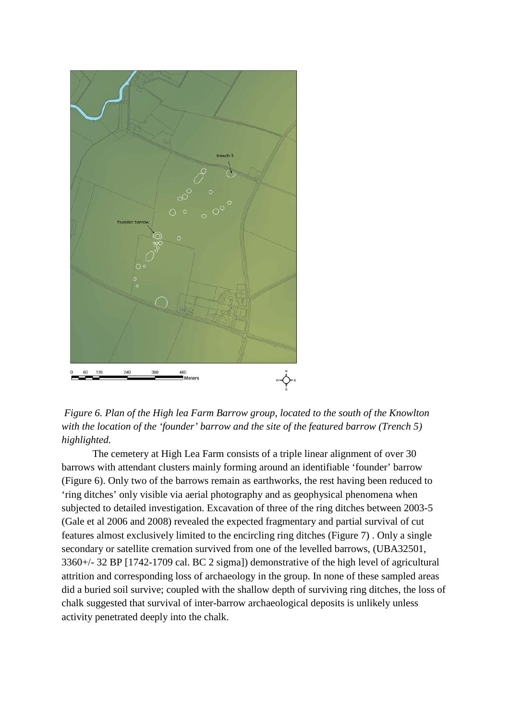

*Figure 6. Plan of the High lea Farm Barrow group, located to the south of the Knowlton with the location of the 'founder' barrow and the site of the featured barrow (Trench 5) highlighted.*

The cemetery at High Lea Farm consists of a triple linear alignment of over 30 barrows with attendant clusters mainly forming around an identifiable 'founder' barrow (Figure 6). Only two of the barrows remain as earthworks, the rest having been reduced to 'ring ditches' only visible via aerial photography and as geophysical phenomena when subjected to detailed investigation. Excavation of three of the ring ditches between 2003-5 (Gale et al 2006 and 2008) revealed the expected fragmentary and partial survival of cut features almost exclusively limited to the encircling ring ditches (Figure 7) . Only a single secondary or satellite cremation survived from one of the levelled barrows, (UBA32501, 3360+/- 32 BP [1742-1709 cal. BC 2 sigma]) demonstrative of the high level of agricultural attrition and corresponding loss of archaeology in the group. In none of these sampled areas did a buried soil survive; coupled with the shallow depth of surviving ring ditches, the loss of chalk suggested that survival of inter-barrow archaeological deposits is unlikely unless activity penetrated deeply into the chalk.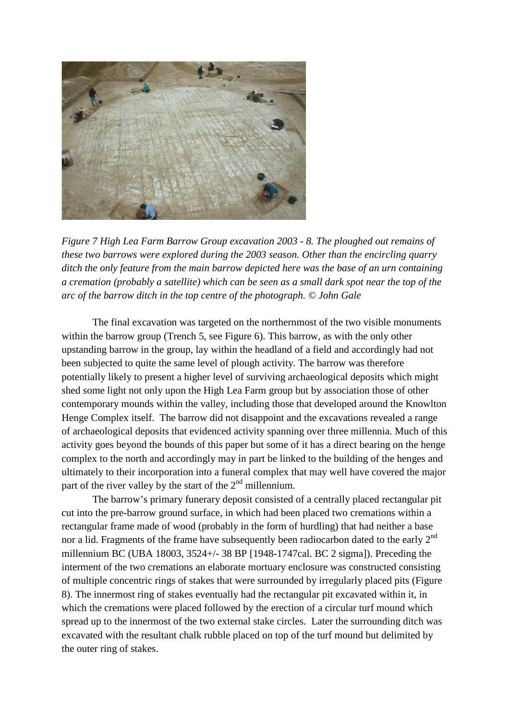

*Figure 7 High Lea Farm Barrow Group excavation 2003 - 8. The ploughed out remains of these two barrows were explored during the 2003 season. Other than the encircling quarry ditch the only feature from the main barrow depicted here was the base of an urn containing a cremation (probably a satellite) which can be seen as a small dark spot near the top of the arc of the barrow ditch in the top centre of the photograph. © John Gale* 

The final excavation was targeted on the northernmost of the two visible monuments within the barrow group (Trench 5, see Figure 6). This barrow, as with the only other upstanding barrow in the group, lay within the headland of a field and accordingly had not been subjected to quite the same level of plough activity. The barrow was therefore potentially likely to present a higher level of surviving archaeological deposits which might shed some light not only upon the High Lea Farm group but by association those of other contemporary mounds within the valley, including those that developed around the Knowlton Henge Complex itself. The barrow did not disappoint and the excavations revealed a range of archaeological deposits that evidenced activity spanning over three millennia. Much of this activity goes beyond the bounds of this paper but some of it has a direct bearing on the henge complex to the north and accordingly may in part be linked to the building of the henges and ultimately to their incorporation into a funeral complex that may well have covered the major part of the river valley by the start of the  $2<sup>nd</sup>$  millennium.

The barrow's primary funerary deposit consisted of a centrally placed rectangular pit cut into the pre-barrow ground surface, in which had been placed two cremations within a rectangular frame made of wood (probably in the form of hurdling) that had neither a base nor a lid. Fragments of the frame have subsequently been radiocarbon dated to the early 2<sup>nd</sup> millennium BC (UBA 18003, 3524+/- 38 BP [1948-1747cal. BC 2 sigma]). Preceding the interment of the two cremations an elaborate mortuary enclosure was constructed consisting of multiple concentric rings of stakes that were surrounded by irregularly placed pits (Figure 8). The innermost ring of stakes eventually had the rectangular pit excavated within it, in which the cremations were placed followed by the erection of a circular turf mound which spread up to the innermost of the two external stake circles. Later the surrounding ditch was excavated with the resultant chalk rubble placed on top of the turf mound but delimited by the outer ring of stakes.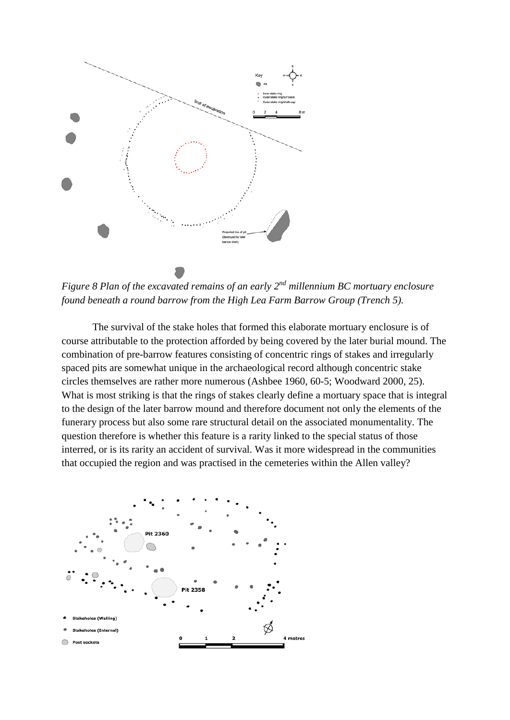

*Figure 8 Plan of the excavated remains of an early 2nd millennium BC mortuary enclosure found beneath a round barrow from the High Lea Farm Barrow Group (Trench 5).*

The survival of the stake holes that formed this elaborate mortuary enclosure is of course attributable to the protection afforded by being covered by the later burial mound. The combination of pre-barrow features consisting of concentric rings of stakes and irregularly spaced pits are somewhat unique in the archaeological record although concentric stake circles themselves are rather more numerous (Ashbee 1960, 60-5; Woodward 2000, 25). What is most striking is that the rings of stakes clearly define a mortuary space that is integral to the design of the later barrow mound and therefore document not only the elements of the funerary process but also some rare structural detail on the associated monumentality. The question therefore is whether this feature is a rarity linked to the special status of those interred, or is its rarity an accident of survival. Was it more widespread in the communities that occupied the region and was practised in the cemeteries within the Allen valley?

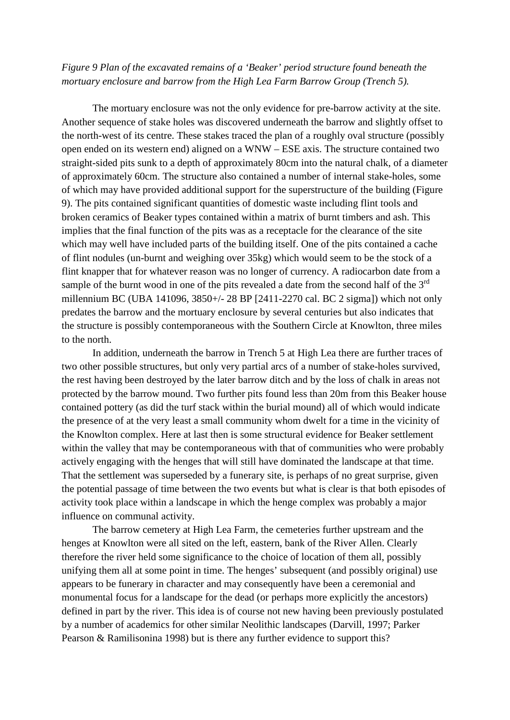*Figure 9 Plan of the excavated remains of a 'Beaker' period structure found beneath the mortuary enclosure and barrow from the High Lea Farm Barrow Group (Trench 5).*

The mortuary enclosure was not the only evidence for pre-barrow activity at the site. Another sequence of stake holes was discovered underneath the barrow and slightly offset to the north-west of its centre. These stakes traced the plan of a roughly oval structure (possibly open ended on its western end) aligned on a WNW – ESE axis. The structure contained two straight-sided pits sunk to a depth of approximately 80cm into the natural chalk, of a diameter of approximately 60cm. The structure also contained a number of internal stake-holes, some of which may have provided additional support for the superstructure of the building (Figure 9). The pits contained significant quantities of domestic waste including flint tools and broken ceramics of Beaker types contained within a matrix of burnt timbers and ash. This implies that the final function of the pits was as a receptacle for the clearance of the site which may well have included parts of the building itself. One of the pits contained a cache of flint nodules (un-burnt and weighing over 35kg) which would seem to be the stock of a flint knapper that for whatever reason was no longer of currency. A radiocarbon date from a sample of the burnt wood in one of the pits revealed a date from the second half of the  $3<sup>rd</sup>$ millennium BC (UBA 141096, 3850+/- 28 BP [2411-2270 cal. BC 2 sigma]) which not only predates the barrow and the mortuary enclosure by several centuries but also indicates that the structure is possibly contemporaneous with the Southern Circle at Knowlton, three miles to the north.

In addition, underneath the barrow in Trench 5 at High Lea there are further traces of two other possible structures, but only very partial arcs of a number of stake-holes survived, the rest having been destroyed by the later barrow ditch and by the loss of chalk in areas not protected by the barrow mound. Two further pits found less than 20m from this Beaker house contained pottery (as did the turf stack within the burial mound) all of which would indicate the presence of at the very least a small community whom dwelt for a time in the vicinity of the Knowlton complex. Here at last then is some structural evidence for Beaker settlement within the valley that may be contemporaneous with that of communities who were probably actively engaging with the henges that will still have dominated the landscape at that time. That the settlement was superseded by a funerary site, is perhaps of no great surprise, given the potential passage of time between the two events but what is clear is that both episodes of activity took place within a landscape in which the henge complex was probably a major influence on communal activity.

The barrow cemetery at High Lea Farm, the cemeteries further upstream and the henges at Knowlton were all sited on the left, eastern, bank of the River Allen. Clearly therefore the river held some significance to the choice of location of them all, possibly unifying them all at some point in time. The henges' subsequent (and possibly original) use appears to be funerary in character and may consequently have been a ceremonial and monumental focus for a landscape for the dead (or perhaps more explicitly the ancestors) defined in part by the river. This idea is of course not new having been previously postulated by a number of academics for other similar Neolithic landscapes (Darvill, 1997; Parker Pearson & Ramilisonina 1998) but is there any further evidence to support this?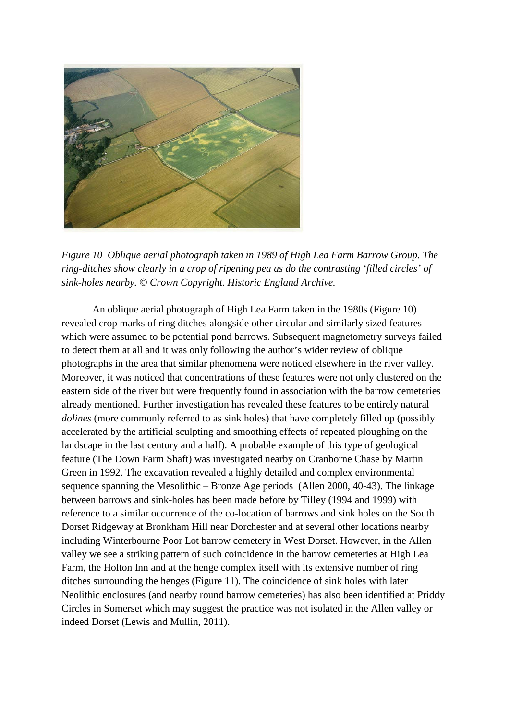

*Figure 10 Oblique aerial photograph taken in 1989 of High Lea Farm Barrow Group. The ring-ditches show clearly in a crop of ripening pea as do the contrasting 'filled circles' of sink-holes nearby. © Crown Copyright. Historic England Archive.*

An oblique aerial photograph of High Lea Farm taken in the 1980s (Figure 10) revealed crop marks of ring ditches alongside other circular and similarly sized features which were assumed to be potential pond barrows. Subsequent magnetometry surveys failed to detect them at all and it was only following the author's wider review of oblique photographs in the area that similar phenomena were noticed elsewhere in the river valley. Moreover, it was noticed that concentrations of these features were not only clustered on the eastern side of the river but were frequently found in association with the barrow cemeteries already mentioned. Further investigation has revealed these features to be entirely natural *dolines* (more commonly referred to as sink holes) that have completely filled up (possibly accelerated by the artificial sculpting and smoothing effects of repeated ploughing on the landscape in the last century and a half). A probable example of this type of geological feature (The Down Farm Shaft) was investigated nearby on Cranborne Chase by Martin Green in 1992. The excavation revealed a highly detailed and complex environmental sequence spanning the Mesolithic – Bronze Age periods (Allen 2000, 40-43). The linkage between barrows and sink-holes has been made before by Tilley (1994 and 1999) with reference to a similar occurrence of the co-location of barrows and sink holes on the South Dorset Ridgeway at Bronkham Hill near Dorchester and at several other locations nearby including Winterbourne Poor Lot barrow cemetery in West Dorset. However, in the Allen valley we see a striking pattern of such coincidence in the barrow cemeteries at High Lea Farm, the Holton Inn and at the henge complex itself with its extensive number of ring ditches surrounding the henges (Figure 11). The coincidence of sink holes with later Neolithic enclosures (and nearby round barrow cemeteries) has also been identified at Priddy Circles in Somerset which may suggest the practice was not isolated in the Allen valley or indeed Dorset (Lewis and Mullin, 2011).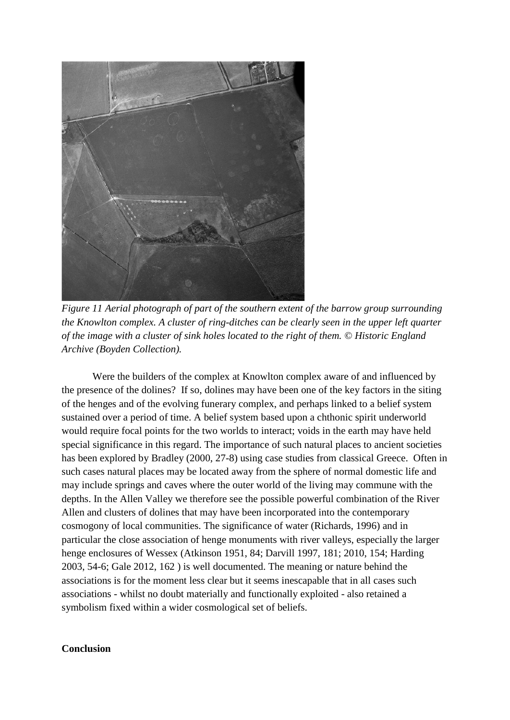

*Figure 11 Aerial photograph of part of the southern extent of the barrow group surrounding the Knowlton complex. A cluster of ring-ditches can be clearly seen in the upper left quarter of the image with a cluster of sink holes located to the right of them. © Historic England Archive (Boyden Collection).*

Were the builders of the complex at Knowlton complex aware of and influenced by the presence of the dolines? If so, dolines may have been one of the key factors in the siting of the henges and of the evolving funerary complex, and perhaps linked to a belief system sustained over a period of time. A belief system based upon a chthonic spirit underworld would require focal points for the two worlds to interact; voids in the earth may have held special significance in this regard. The importance of such natural places to ancient societies has been explored by Bradley (2000, 27-8) using case studies from classical Greece. Often in such cases natural places may be located away from the sphere of normal domestic life and may include springs and caves where the outer world of the living may commune with the depths. In the Allen Valley we therefore see the possible powerful combination of the River Allen and clusters of dolines that may have been incorporated into the contemporary cosmogony of local communities. The significance of water (Richards, 1996) and in particular the close association of henge monuments with river valleys, especially the larger henge enclosures of Wessex (Atkinson 1951, 84; Darvill 1997, 181; 2010, 154; Harding 2003, 54-6; Gale 2012, 162 ) is well documented. The meaning or nature behind the associations is for the moment less clear but it seems inescapable that in all cases such associations - whilst no doubt materially and functionally exploited - also retained a symbolism fixed within a wider cosmological set of beliefs.

#### **Conclusion**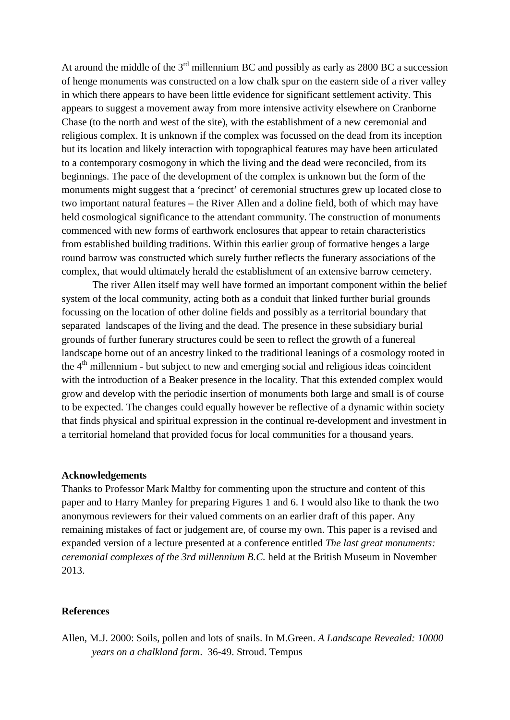At around the middle of the  $3<sup>rd</sup>$  millennium BC and possibly as early as 2800 BC a succession of henge monuments was constructed on a low chalk spur on the eastern side of a river valley in which there appears to have been little evidence for significant settlement activity. This appears to suggest a movement away from more intensive activity elsewhere on Cranborne Chase (to the north and west of the site), with the establishment of a new ceremonial and religious complex. It is unknown if the complex was focussed on the dead from its inception but its location and likely interaction with topographical features may have been articulated to a contemporary cosmogony in which the living and the dead were reconciled, from its beginnings. The pace of the development of the complex is unknown but the form of the monuments might suggest that a 'precinct' of ceremonial structures grew up located close to two important natural features – the River Allen and a doline field, both of which may have held cosmological significance to the attendant community. The construction of monuments commenced with new forms of earthwork enclosures that appear to retain characteristics from established building traditions. Within this earlier group of formative henges a large round barrow was constructed which surely further reflects the funerary associations of the complex, that would ultimately herald the establishment of an extensive barrow cemetery.

The river Allen itself may well have formed an important component within the belief system of the local community, acting both as a conduit that linked further burial grounds focussing on the location of other doline fields and possibly as a territorial boundary that separated landscapes of the living and the dead. The presence in these subsidiary burial grounds of further funerary structures could be seen to reflect the growth of a funereal landscape borne out of an ancestry linked to the traditional leanings of a cosmology rooted in the  $4<sup>th</sup>$  millennium - but subject to new and emerging social and religious ideas coincident with the introduction of a Beaker presence in the locality. That this extended complex would grow and develop with the periodic insertion of monuments both large and small is of course to be expected. The changes could equally however be reflective of a dynamic within society that finds physical and spiritual expression in the continual re-development and investment in a territorial homeland that provided focus for local communities for a thousand years.

#### **Acknowledgements**

Thanks to Professor Mark Maltby for commenting upon the structure and content of this paper and to Harry Manley for preparing Figures 1 and 6. I would also like to thank the two anonymous reviewers for their valued comments on an earlier draft of this paper. Any remaining mistakes of fact or judgement are, of course my own. This paper is a revised and expanded version of a lecture presented at a conference entitled *The last great monuments: ceremonial complexes of the 3rd millennium B.C.* held at the British Museum in November 2013.

#### **References**

Allen, M.J. 2000: Soils, pollen and lots of snails. In M.Green. *A Landscape Revealed: 10000 years on a chalkland farm*. 36-49. Stroud. Tempus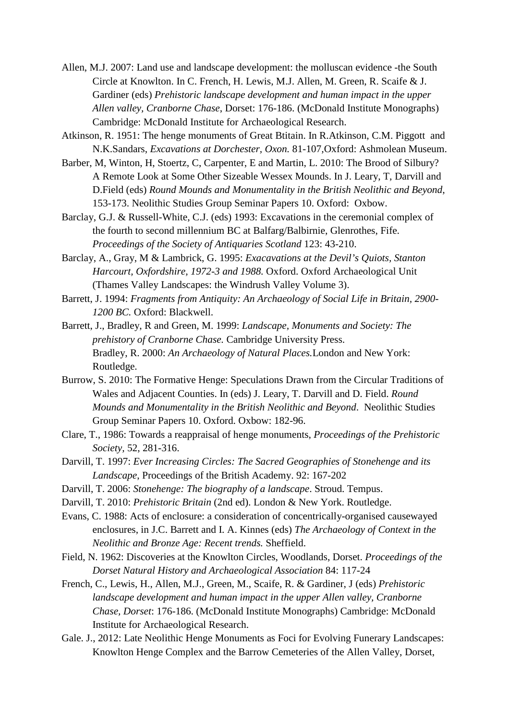Allen, M.J. 2007: Land use and landscape development: the molluscan evidence -the South Circle at Knowlton. In C. French, H. Lewis, M.J. Allen, M. Green, R. Scaife & J. Gardiner (eds) *Prehistoric landscape development and human impact in the upper Allen valley, Cranborne Chase*, Dorset: 176-186. (McDonald Institute Monographs) Cambridge: McDonald Institute for Archaeological Research.

Atkinson, R. 1951: The henge monuments of Great Btitain. In R.Atkinson, C.M. Piggott and N.K.Sandars, *Excavations at Dorchester, Oxon.* 81-107*,*Oxford: Ashmolean Museum.

Barber, M, Winton, H, Stoertz, C, Carpenter, E and Martin, L. 2010: The Brood of Silbury? A Remote Look at Some Other Sizeable Wessex Mounds. In J. Leary, T, Darvill and D.Field (eds) *Round Mounds and Monumentality in the British Neolithic and Beyond*, 153-173. Neolithic Studies Group Seminar Papers 10. Oxford: Oxbow.

Barclay, G.J. & Russell-White, C.J. (eds) 1993: Excavations in the ceremonial complex of the fourth to second millennium BC at Balfarg/Balbirnie, Glenrothes, Fife. *Proceedings of the Society of Antiquaries Scotland* 123: 43-210.

Barclay, A., Gray, M & Lambrick, G. 1995: *Exacavations at the Devil's Quiots, Stanton Harcourt, Oxfordshire, 1972-3 and 1988.* Oxford. Oxford Archaeological Unit (Thames Valley Landscapes: the Windrush Valley Volume 3).

Barrett, J. 1994: *Fragments from Antiquity: An Archaeology of Social Life in Britain, 2900- 1200 BC.* Oxford: Blackwell.

Barrett, J., Bradley, R and Green, M. 1999: *Landscape, Monuments and Society: The prehistory of Cranborne Chase.* Cambridge University Press. Bradley, R. 2000: *An Archaeology of Natural Places.*London and New York: Routledge.

Burrow, S. 2010: The Formative Henge: Speculations Drawn from the Circular Traditions of Wales and Adjacent Counties. In (eds) J. Leary, T. Darvill and D. Field. *Round Mounds and Monumentality in the British Neolithic and Beyond*. Neolithic Studies Group Seminar Papers 10. Oxford. Oxbow: 182-96.

Clare, T., 1986: Towards a reappraisal of henge monuments, *Proceedings of the Prehistoric Society,* 52, 281-316.

- Darvill, T. 1997: *Ever Increasing Circles: The Sacred Geographies of Stonehenge and its Landscape*, Proceedings of the British Academy. 92: 167-202
- Darvill, T. 2006: *Stonehenge: The biography of a landscape*. Stroud. Tempus.
- Darvill, T. 2010: *Prehistoric Britain* (2nd ed). London & New York. Routledge.

Evans, C. 1988: Acts of enclosure: a consideration of concentrically-organised causewayed enclosures, in J.C. Barrett and I. A. Kinnes (eds) *The Archaeology of Context in the Neolithic and Bronze Age: Recent trends.* Sheffield.

Field, N. 1962: Discoveries at the Knowlton Circles, Woodlands, Dorset. *Proceedings of the Dorset Natural History and Archaeological Association* 84: 117-24

French, C., Lewis, H., Allen, M.J., Green, M., Scaife, R. & Gardiner, J (eds) *Prehistoric landscape development and human impact in the upper Allen valley, Cranborne Chase, Dorset*: 176-186. (McDonald Institute Monographs) Cambridge: McDonald Institute for Archaeological Research.

Gale. J., 2012: Late Neolithic Henge Monuments as Foci for Evolving Funerary Landscapes: Knowlton Henge Complex and the Barrow Cemeteries of the Allen Valley, Dorset,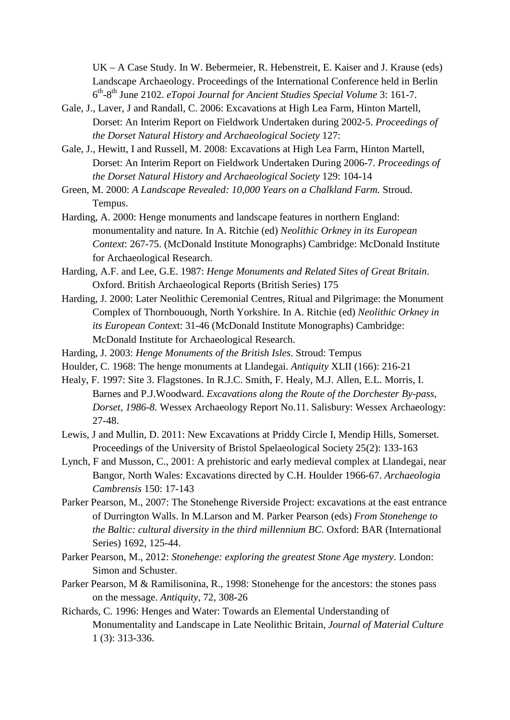UK – A Case Study. In W. Bebermeier, R. Hebenstreit, E. Kaiser and J. Krause (eds) Landscape Archaeology. Proceedings of the International Conference held in Berlin 6th-8th June 2102. *eTopoi Journal for Ancient Studies Special Volume* 3: 161-7.

- Gale, J., Laver, J and Randall, C. 2006: Excavations at High Lea Farm, Hinton Martell, Dorset: An Interim Report on Fieldwork Undertaken during 2002-5. *Proceedings of the Dorset Natural History and Archaeological Society* 127:
- Gale, J., Hewitt, I and Russell, M. 2008: Excavations at High Lea Farm, Hinton Martell, Dorset: An Interim Report on Fieldwork Undertaken During 2006-7. *Proceedings of the Dorset Natural History and Archaeological Society* 129: 104-14
- Green, M. 2000: *A Landscape Revealed: 10,000 Years on a Chalkland Farm.* Stroud. Tempus.
- Harding, A. 2000: Henge monuments and landscape features in northern England: monumentality and nature. In A. Ritchie (ed) *Neolithic Orkney in its European Context*: 267-75. (McDonald Institute Monographs) Cambridge: McDonald Institute for Archaeological Research.
- Harding, A.F. and Lee, G.E. 1987: *Henge Monuments and Related Sites of Great Britain*. Oxford. British Archaeological Reports (British Series) 175
- Harding, J. 2000: Later Neolithic Ceremonial Centres, Ritual and Pilgrimage: the Monument Complex of Thornbouough, North Yorkshire. In A. Ritchie (ed) *Neolithic Orkney in its European Contex*t: 31-46 (McDonald Institute Monographs) Cambridge: McDonald Institute for Archaeological Research.
- Harding, J. 2003: *Henge Monuments of the British Isles*. Stroud: Tempus
- Houlder, C. 1968: The henge monuments at Llandegai. *Antiquity* XLII (166): 216-21
- Healy, F. 1997: Site 3. Flagstones. In R.J.C. Smith, F. Healy, M.J. Allen, E.L. Morris, I. Barnes and P.J.Woodward. *Excavations along the Route of the Dorchester By-pass, Dorset, 1986-8.* Wessex Archaeology Report No.11. Salisbury: Wessex Archaeology: 27-48.
- Lewis, J and Mullin, D. 2011: New Excavations at Priddy Circle I, Mendip Hills, Somerset. Proceedings of the University of Bristol Spelaeological Society 25(2): 133-163
- Lynch, F and Musson, C., 2001: A prehistoric and early medieval complex at Llandegai, near Bangor, North Wales: Excavations directed by C.H. Houlder 1966-67. *Archaeologia Cambrensis* 150: 17-143
- Parker Pearson, M., 2007: The Stonehenge Riverside Project: excavations at the east entrance of Durrington Walls. In M.Larson and M. Parker Pearson (eds) *From Stonehenge to the Baltic: cultural diversity in the third millennium BC*. Oxford: BAR (International Series) 1692, 125-44.
- Parker Pearson, M., 2012: *Stonehenge: exploring the greatest Stone Age mystery*. London: Simon and Schuster.
- Parker Pearson, M & Ramilisonina, R., 1998: Stonehenge for the ancestors: the stones pass on the message. *Antiquity*, 72, 308-26
- Richards, C. 1996: Henges and Water: Towards an Elemental Understanding of Monumentality and Landscape in Late Neolithic Britain, *Journal of Material Culture* 1 (3): 313-336.